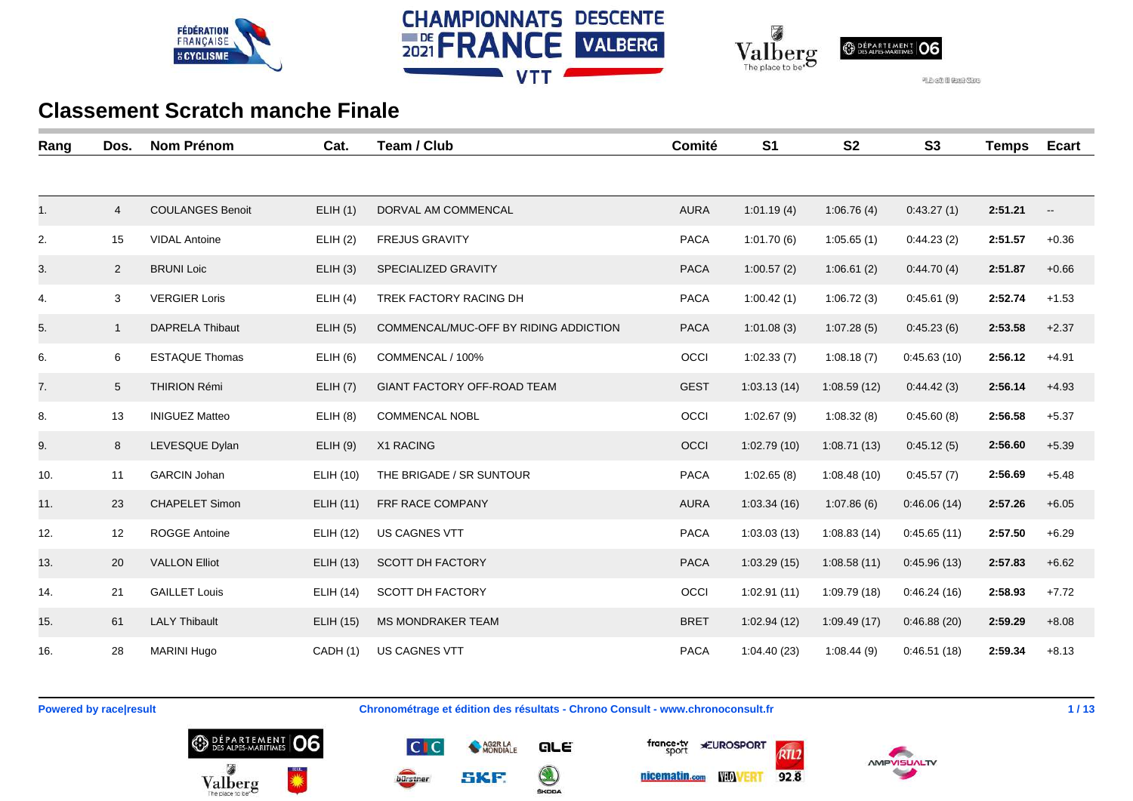





| Rang | Dos.           | <b>Nom Prénom</b>       | Cat.             | Team / Club                           | Comité      | S <sub>1</sub> | <b>S2</b>   | S3          | <b>Temps</b> | <b>Ecart</b>             |
|------|----------------|-------------------------|------------------|---------------------------------------|-------------|----------------|-------------|-------------|--------------|--------------------------|
|      |                |                         |                  |                                       |             |                |             |             |              |                          |
| 1.   | $\overline{4}$ | <b>COULANGES Benoit</b> | ELIH(1)          | DORVAL AM COMMENCAL                   | <b>AURA</b> | 1:01.19(4)     | 1:06.76(4)  | 0:43.27(1)  | 2:51.21      | $\overline{\phantom{a}}$ |
| 2.   | 15             | <b>VIDAL Antoine</b>    | ELIH(2)          | <b>FREJUS GRAVITY</b>                 | <b>PACA</b> | 1:01.70(6)     | 1:05.65(1)  | 0:44.23(2)  | 2:51.57      | $+0.36$                  |
| 3.   | 2              | <b>BRUNI Loic</b>       | ELIH(3)          | SPECIALIZED GRAVITY                   | <b>PACA</b> | 1:00.57(2)     | 1:06.61(2)  | 0:44.70(4)  | 2:51.87      | $+0.66$                  |
| 4.   | 3              | <b>VERGIER Loris</b>    | ELIH(4)          | TREK FACTORY RACING DH                | <b>PACA</b> | 1:00.42(1)     | 1:06.72(3)  | 0:45.61(9)  | 2:52.74      | $+1.53$                  |
| 5.   | $\mathbf{1}$   | <b>DAPRELA Thibaut</b>  | ELIH(5)          | COMMENCAL/MUC-OFF BY RIDING ADDICTION | <b>PACA</b> | 1:01.08(3)     | 1:07.28(5)  | 0:45.23(6)  | 2:53.58      | $+2.37$                  |
| 6.   | 6              | <b>ESTAQUE Thomas</b>   | ELIH(6)          | COMMENCAL / 100%                      | OCCI        | 1:02.33(7)     | 1:08.18(7)  | 0:45.63(10) | 2:56.12      | $+4.91$                  |
| 7.   | 5              | <b>THIRION Rémi</b>     | ELIH(7)          | GIANT FACTORY OFF-ROAD TEAM           | <b>GEST</b> | 1:03.13(14)    | 1:08.59(12) | 0.44.42(3)  | 2:56.14      | $+4.93$                  |
| 8.   | 13             | <b>INIGUEZ Matteo</b>   | ELIH(8)          | <b>COMMENCAL NOBL</b>                 | OCCI        | 1:02.67(9)     | 1:08.32(8)  | 0:45.60(8)  | 2:56.58      | $+5.37$                  |
| 9.   | 8              | LEVESQUE Dylan          | ELIH(9)          | X1 RACING                             | OCCI        | 1:02.79(10)    | 1:08.71(13) | 0.45.12(5)  | 2:56.60      | $+5.39$                  |
| 10.  | 11             | <b>GARCIN Johan</b>     | ELIH (10)        | THE BRIGADE / SR SUNTOUR              | <b>PACA</b> | 1:02.65(8)     | 1:08.48(10) | 0:45.57(7)  | 2:56.69      | $+5.48$                  |
| 11.  | 23             | <b>CHAPELET Simon</b>   | ELIH (11)        | FRF RACE COMPANY                      | <b>AURA</b> | 1:03.34(16)    | 1:07.86(6)  | 0:46.06(14) | 2:57.26      | $+6.05$                  |
| 12.  | 12             | <b>ROGGE Antoine</b>    | ELIH (12)        | <b>US CAGNES VTT</b>                  | <b>PACA</b> | 1:03.03(13)    | 1:08.83(14) | 0:45.65(11) | 2:57.50      | $+6.29$                  |
| 13.  | 20             | <b>VALLON Elliot</b>    | <b>ELIH (13)</b> | <b>SCOTT DH FACTORY</b>               | <b>PACA</b> | 1:03.29(15)    | 1:08.58(11) | 0:45.96(13) | 2:57.83      | $+6.62$                  |
| 14.  | 21             | <b>GAILLET Louis</b>    | ELIH (14)        | <b>SCOTT DH FACTORY</b>               | OCCI        | 1:02.91(11)    | 1:09.79(18) | 0.46.24(16) | 2:58.93      | $+7.72$                  |
| 15.  | 61             | <b>LALY Thibault</b>    | ELIH (15)        | <b>MS MONDRAKER TEAM</b>              | <b>BRET</b> | 1:02.94(12)    | 1:09.49(17) | 0:46.88(20) | 2:59.29      | $+8.08$                  |
| 16.  | 28             | <b>MARINI Hugo</b>      | CADH(1)          | US CAGNES VTT                         | <b>PACA</b> | 1:04.40(23)    | 1:08.44(9)  | 0:46.51(18) | 2:59.34      | $+8.13$                  |

**Powered by race|result Chronométrage et édition des résultats - Chrono Consult - www.chronoconsult.fr 1/13** 

QLE

 $\bigcirc$ 

**SKODA** 











AG2R LA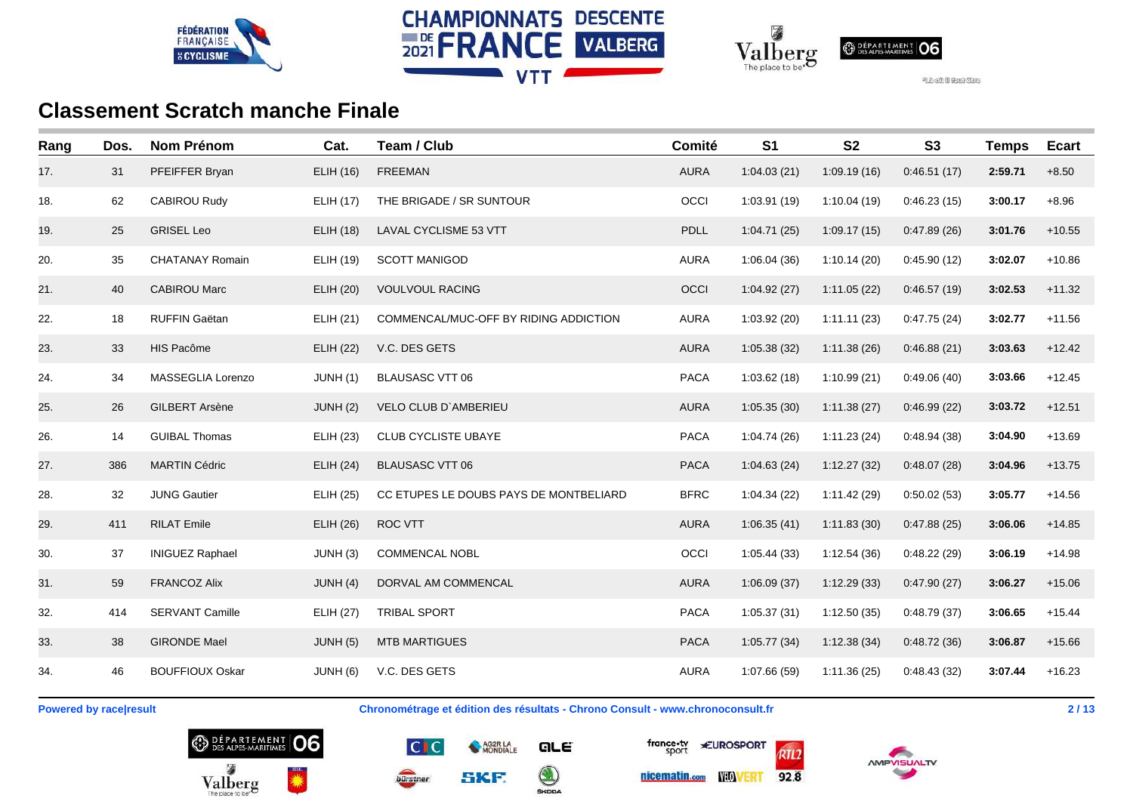





| Rang | Dos. | <b>Nom Prénom</b>      | Cat.             | Team / Club                            | Comité      | S <sub>1</sub> | <b>S2</b>   | <b>S3</b>   | <b>Temps</b> | <b>Ecart</b> |
|------|------|------------------------|------------------|----------------------------------------|-------------|----------------|-------------|-------------|--------------|--------------|
| 17.  | 31   | PFEIFFER Bryan         | ELIH (16)        | <b>FREEMAN</b>                         | <b>AURA</b> | 1:04.03(21)    | 1:09.19(16) | 0:46.51(17) | 2:59.71      | $+8.50$      |
| 18.  | 62   | <b>CABIROU Rudy</b>    | ELIH (17)        | THE BRIGADE / SR SUNTOUR               | OCCI        | 1:03.91 (19)   | 1:10.04(19) | 0:46.23(15) | 3:00.17      | $+8.96$      |
| 19.  | 25   | <b>GRISEL Leo</b>      | <b>ELIH (18)</b> | <b>LAVAL CYCLISME 53 VTT</b>           | <b>PDLL</b> | 1:04.71(25)    | 1:09.17(15) | 0.47.89(26) | 3:01.76      | $+10.55$     |
| 20.  | 35   | <b>CHATANAY Romain</b> | ELIH (19)        | <b>SCOTT MANIGOD</b>                   | <b>AURA</b> | 1:06.04(36)    | 1:10.14(20) | 0:45.90(12) | 3:02.07      | $+10.86$     |
| 21.  | 40   | <b>CABIROU Marc</b>    | <b>ELIH (20)</b> | <b>VOULVOUL RACING</b>                 | OCCI        | 1:04.92(27)    | 1:11.05(22) | 0:46.57(19) | 3:02.53      | $+11.32$     |
| 22.  | 18   | RUFFIN Gaëtan          | <b>ELIH (21)</b> | COMMENCAL/MUC-OFF BY RIDING ADDICTION  | <b>AURA</b> | 1:03.92(20)    | 1:11.11(23) | 0:47.75(24) | 3:02.77      | $+11.56$     |
| 23.  | 33   | HIS Pacôme             | <b>ELIH (22)</b> | V.C. DES GETS                          | <b>AURA</b> | 1:05.38(32)    | 1:11.38(26) | 0:46.88(21) | 3:03.63      | $+12.42$     |
| 24.  | 34   | MASSEGLIA Lorenzo      | JUNH(1)          | <b>BLAUSASC VTT 06</b>                 | <b>PACA</b> | 1:03.62(18)    | 1:10.99(21) | 0:49.06(40) | 3:03.66      | $+12.45$     |
| 25.  | 26   | <b>GILBERT Arsène</b>  | <b>JUNH (2)</b>  | VELO CLUB D'AMBERIEU                   | <b>AURA</b> | 1:05.35(30)    | 1:11.38(27) | 0.46.99(22) | 3:03.72      | $+12.51$     |
| 26.  | 14   | <b>GUIBAL Thomas</b>   | <b>ELIH (23)</b> | CLUB CYCLISTE UBAYE                    | <b>PACA</b> | 1:04.74(26)    | 1:11.23(24) | 0:48.94(38) | 3:04.90      | $+13.69$     |
| 27.  | 386  | <b>MARTIN Cédric</b>   | <b>ELIH (24)</b> | <b>BLAUSASC VTT 06</b>                 | <b>PACA</b> | 1:04.63(24)    | 1:12.27(32) | 0:48.07(28) | 3:04.96      | $+13.75$     |
| 28.  | 32   | <b>JUNG Gautier</b>    | ELIH (25)        | CC ETUPES LE DOUBS PAYS DE MONTBELIARD | <b>BFRC</b> | 1:04.34(22)    | 1:11.42(29) | 0:50.02(53) | 3:05.77      | $+14.56$     |
| 29.  | 411  | <b>RILAT Emile</b>     | <b>ELIH (26)</b> | ROC VTT                                | <b>AURA</b> | 1:06.35(41)    | 1:11.83(30) | 0.47.88(25) | 3:06.06      | $+14.85$     |
| 30.  | 37   | <b>INIGUEZ Raphael</b> | JUNH (3)         | <b>COMMENCAL NOBL</b>                  | OCCI        | 1:05.44(33)    | 1:12.54(36) | 0:48.22(29) | 3:06.19      | $+14.98$     |
| 31.  | 59   | <b>FRANCOZ Alix</b>    | JUNH(4)          | DORVAL AM COMMENCAL                    | <b>AURA</b> | 1:06.09(37)    | 1:12.29(33) | 0:47.90(27) | 3:06.27      | $+15.06$     |
| 32.  | 414  | <b>SERVANT Camille</b> | <b>ELIH (27)</b> | <b>TRIBAL SPORT</b>                    | <b>PACA</b> | 1:05.37(31)    | 1:12.50(35) | 0:48.79(37) | 3:06.65      | $+15.44$     |
| 33.  | 38   | <b>GIRONDE Mael</b>    | JUNH (5)         | <b>MTB MARTIGUES</b>                   | <b>PACA</b> | 1:05.77(34)    | 1:12.38(34) | 0.48.72(36) | 3:06.87      | $+15.66$     |
| 34.  | 46   | <b>BOUFFIOUX Oskar</b> | JUNH (6)         | V.C. DES GETS                          | <b>AURA</b> | 1:07.66(59)    | 1:11.36(25) | 0:48.43(32) | 3:07.44      | $+16.23$     |

**Powered by race|result Chronométrage et édition des résultats - Chrono Consult - www.chronoconsult.fr 2/13** 







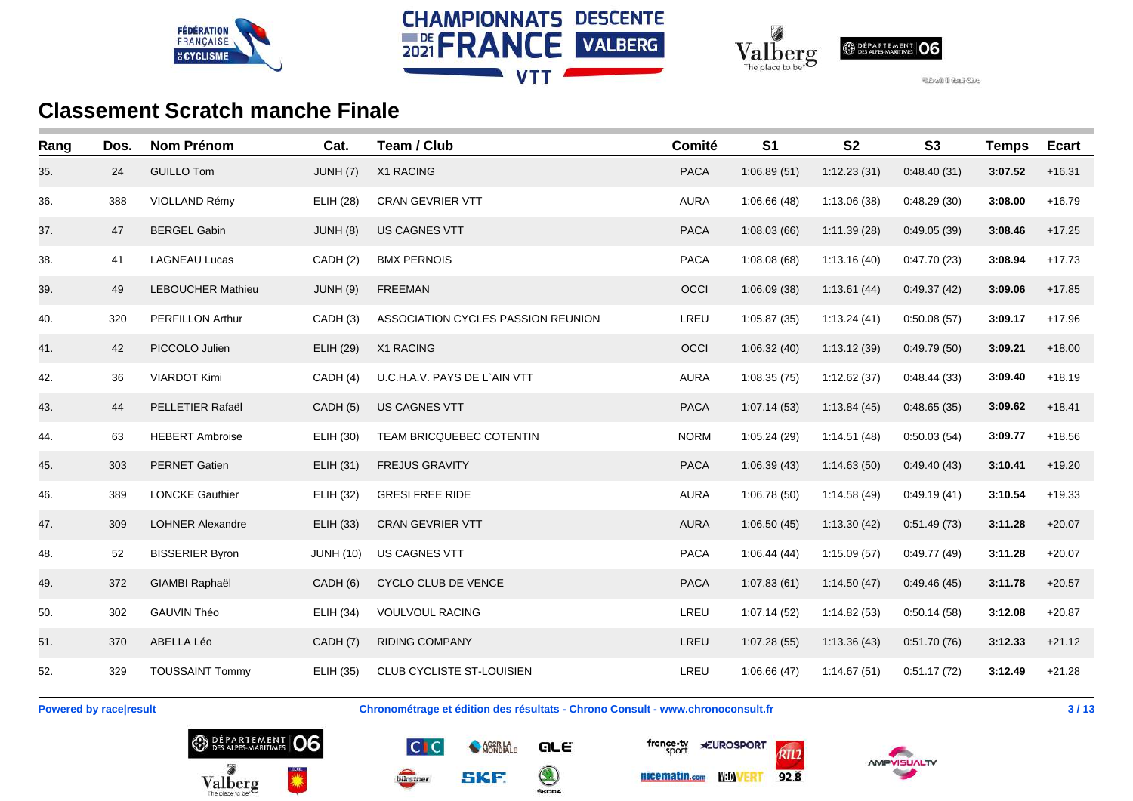





| Rang | Dos. | <b>Nom Prénom</b>        | Cat.             | Team / Club                        | Comité      | S <sub>1</sub> | <b>S2</b>   | <b>S3</b>   | <b>Temps</b> | <b>Ecart</b> |
|------|------|--------------------------|------------------|------------------------------------|-------------|----------------|-------------|-------------|--------------|--------------|
| 35.  | 24   | <b>GUILLO Tom</b>        | JUNH (7)         | X1 RACING                          | <b>PACA</b> | 1:06.89(51)    | 1:12.23(31) | 0:48.40(31) | 3:07.52      | $+16.31$     |
| 36.  | 388  | VIOLLAND Rémy            | <b>ELIH (28)</b> | <b>CRAN GEVRIER VTT</b>            | <b>AURA</b> | 1:06.66(48)    | 1:13.06(38) | 0:48.29(30) | 3:08.00      | $+16.79$     |
| 37.  | 47   | <b>BERGEL Gabin</b>      | JUNH (8)         | <b>US CAGNES VTT</b>               | <b>PACA</b> | 1:08.03(66)    | 1:11.39(28) | 0:49.05(39) | 3:08.46      | $+17.25$     |
| 38.  | 41   | <b>LAGNEAU Lucas</b>     | CADH (2)         | <b>BMX PERNOIS</b>                 | <b>PACA</b> | 1:08.08(68)    | 1:13.16(40) | 0:47.70(23) | 3:08.94      | $+17.73$     |
| 39.  | 49   | <b>LEBOUCHER Mathieu</b> | JUNH(9)          | <b>FREEMAN</b>                     | OCCI        | 1:06.09(38)    | 1:13.61(44) | 0:49.37(42) | 3:09.06      | $+17.85$     |
| 40.  | 320  | <b>PERFILLON Arthur</b>  | CADH (3)         | ASSOCIATION CYCLES PASSION REUNION | LREU        | 1:05.87(35)    | 1:13.24(41) | 0:50.08(57) | 3:09.17      | $+17.96$     |
| 41.  | 42   | PICCOLO Julien           | <b>ELIH (29)</b> | X1 RACING                          | OCCI        | 1:06.32(40)    | 1:13.12(39) | 0.49.79(50) | 3:09.21      | $+18.00$     |
| 42.  | 36   | <b>VIARDOT Kimi</b>      | CADH (4)         | U.C.H.A.V. PAYS DE L`AIN VTT       | <b>AURA</b> | 1:08.35(75)    | 1:12.62(37) | 0:48.44(33) | 3:09.40      | $+18.19$     |
| 43.  | 44   | PELLETIER Rafaël         | CADH (5)         | <b>US CAGNES VTT</b>               | <b>PACA</b> | 1:07.14(53)    | 1:13.84(45) | 0.48.65(35) | 3:09.62      | $+18.41$     |
| 44.  | 63   | <b>HEBERT Ambroise</b>   | ELIH (30)        | TEAM BRICQUEBEC COTENTIN           | <b>NORM</b> | 1:05.24(29)    | 1:14.51(48) | 0:50.03(54) | 3:09.77      | $+18.56$     |
| 45.  | 303  | <b>PERNET Gatien</b>     | ELIH (31)        | <b>FREJUS GRAVITY</b>              | <b>PACA</b> | 1:06.39(43)    | 1:14.63(50) | 0.49.40(43) | 3:10.41      | $+19.20$     |
| 46.  | 389  | <b>LONCKE Gauthier</b>   | <b>ELIH (32)</b> | <b>GRESI FREE RIDE</b>             | <b>AURA</b> | 1:06.78(50)    | 1:14.58(49) | 0:49.19(41) | 3:10.54      | $+19.33$     |
| 47.  | 309  | <b>LOHNER Alexandre</b>  | <b>ELIH (33)</b> | <b>CRAN GEVRIER VTT</b>            | <b>AURA</b> | 1:06.50(45)    | 1:13.30(42) | 0:51.49(73) | 3:11.28      | $+20.07$     |
| 48.  | 52   | <b>BISSERIER Byron</b>   | <b>JUNH (10)</b> | US CAGNES VTT                      | <b>PACA</b> | 1:06.44(44)    | 1:15.09(57) | 0:49.77(49) | 3:11.28      | $+20.07$     |
| 49.  | 372  | GIAMBI Raphaël           | CADH(6)          | CYCLO CLUB DE VENCE                | <b>PACA</b> | 1:07.83(61)    | 1:14.50(47) | 0:49.46(45) | 3:11.78      | $+20.57$     |
| 50.  | 302  | <b>GAUVIN Théo</b>       | <b>ELIH (34)</b> | <b>VOULVOUL RACING</b>             | LREU        | 1:07.14(52)    | 1:14.82(53) | 0:50.14(58) | 3:12.08      | $+20.87$     |
| 51.  | 370  | ABELLA Léo               | CADH (7)         | <b>RIDING COMPANY</b>              | LREU        | 1:07.28(55)    | 1:13.36(43) | 0:51.70(76) | 3:12.33      | $+21.12$     |
| 52.  | 329  | <b>TOUSSAINT Tommy</b>   | <b>ELIH (35)</b> | <b>CLUB CYCLISTE ST-LOUISIEN</b>   | LREU        | 1:06.66(47)    | 1:14.67(51) | 0:51.17(72) | 3:12.49      | $+21.28$     |

**Powered by race|result Chronométrage et édition des résultats - Chrono Consult - www.chronoconsult.fr 143** / 13







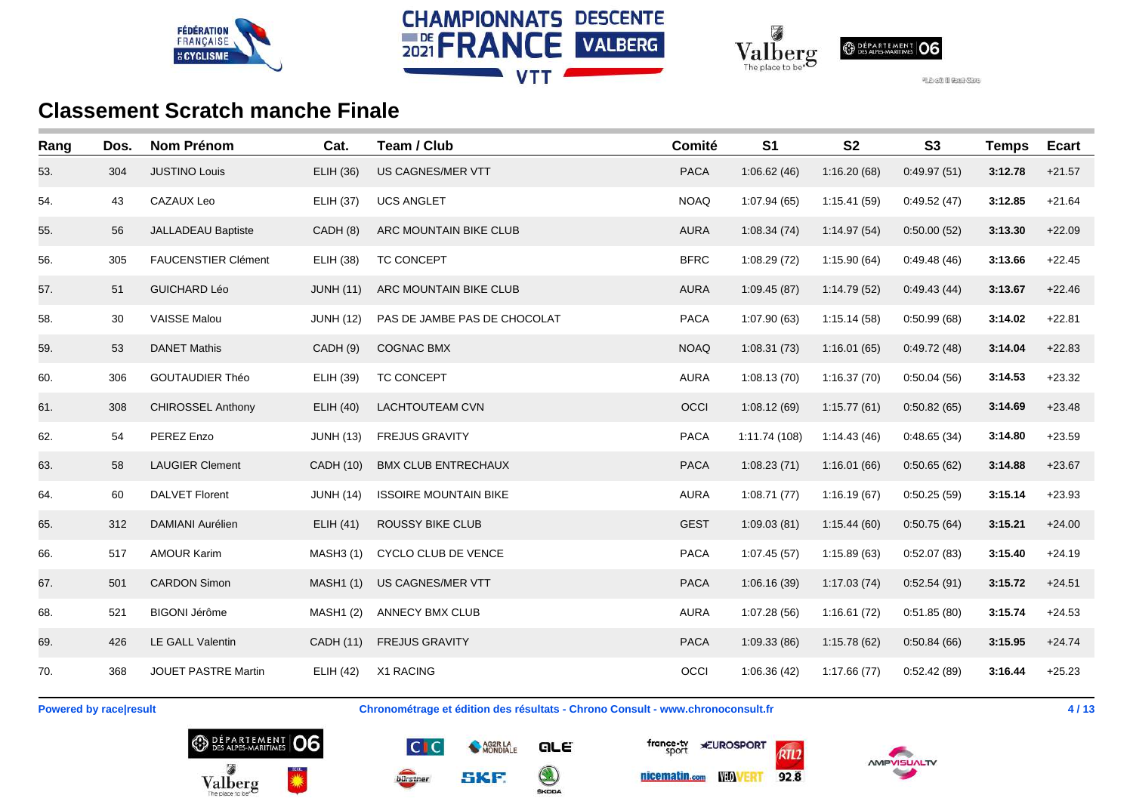





| Rang | Dos. | <b>Nom Prénom</b>          | Cat.             | Team / Club                  | Comité      | S <sub>1</sub> | <b>S2</b>   | <b>S3</b>   | <b>Temps</b> | <b>Ecart</b> |
|------|------|----------------------------|------------------|------------------------------|-------------|----------------|-------------|-------------|--------------|--------------|
| 53.  | 304  | <b>JUSTINO Louis</b>       | <b>ELIH (36)</b> | US CAGNES/MER VTT            | <b>PACA</b> | 1:06.62(46)    | 1:16.20(68) | 0.49.97(51) | 3:12.78      | $+21.57$     |
| 54.  | 43   | CAZAUX Leo                 | <b>ELIH (37)</b> | <b>UCS ANGLET</b>            | <b>NOAQ</b> | 1:07.94(65)    | 1:15.41(59) | 0:49.52(47) | 3:12.85      | $+21.64$     |
| 55.  | 56   | <b>JALLADEAU Baptiste</b>  | CADH (8)         | ARC MOUNTAIN BIKE CLUB       | <b>AURA</b> | 1:08.34(74)    | 1:14.97(54) | 0:50.00(52) | 3:13.30      | $+22.09$     |
| 56.  | 305  | <b>FAUCENSTIER Clément</b> | ELIH (38)        | TC CONCEPT                   | <b>BFRC</b> | 1:08.29(72)    | 1:15.90(64) | 0:49.48(46) | 3:13.66      | $+22.45$     |
| 57.  | 51   | <b>GUICHARD Léo</b>        | <b>JUNH (11)</b> | ARC MOUNTAIN BIKE CLUB       | <b>AURA</b> | 1:09.45(87)    | 1:14.79(52) | 0.49.43(44) | 3:13.67      | $+22.46$     |
| 58.  | 30   | <b>VAISSE Malou</b>        | <b>JUNH (12)</b> | PAS DE JAMBE PAS DE CHOCOLAT | <b>PACA</b> | 1:07.90(63)    | 1:15.14(58) | 0:50.99(68) | 3:14.02      | $+22.81$     |
| 59.  | 53   | <b>DANET Mathis</b>        | CADH (9)         | <b>COGNAC BMX</b>            | <b>NOAQ</b> | 1:08.31(73)    | 1:16.01(65) | 0:49.72(48) | 3:14.04      | $+22.83$     |
| 60.  | 306  | <b>GOUTAUDIER Théo</b>     | ELIH (39)        | TC CONCEPT                   | <b>AURA</b> | 1:08.13(70)    | 1:16.37(70) | 0:50.04(56) | 3:14.53      | $+23.32$     |
| 61.  | 308  | <b>CHIROSSEL Anthony</b>   | ELIH (40)        | <b>LACHTOUTEAM CVN</b>       | OCCI        | 1:08.12(69)    | 1:15.77(61) | 0:50.82(65) | 3:14.69      | $+23.48$     |
| 62.  | 54   | PEREZ Enzo                 | <b>JUNH (13)</b> | <b>FREJUS GRAVITY</b>        | <b>PACA</b> | 1:11.74 (108)  | 1:14.43(46) | 0.48.65(34) | 3:14.80      | $+23.59$     |
| 63.  | 58   | <b>LAUGIER Clement</b>     | CADH (10)        | <b>BMX CLUB ENTRECHAUX</b>   | <b>PACA</b> | 1:08.23(71)    | 1:16.01(66) | 0:50.65(62) | 3:14.88      | $+23.67$     |
| 64.  | 60   | <b>DALVET Florent</b>      | <b>JUNH (14)</b> | <b>ISSOIRE MOUNTAIN BIKE</b> | <b>AURA</b> | 1:08.71(77)    | 1:16.19(67) | 0:50.25(59) | 3:15.14      | $+23.93$     |
| 65.  | 312  | DAMIANI Aurélien           | ELIH(41)         | <b>ROUSSY BIKE CLUB</b>      | <b>GEST</b> | 1:09.03(81)    | 1:15.44(60) | 0:50.75(64) | 3:15.21      | $+24.00$     |
| 66.  | 517  | <b>AMOUR Karim</b>         | <b>MASH3 (1)</b> | CYCLO CLUB DE VENCE          | <b>PACA</b> | 1:07.45(57)    | 1:15.89(63) | 0:52.07(83) | 3:15.40      | $+24.19$     |
| 67.  | 501  | <b>CARDON Simon</b>        | <b>MASH1 (1)</b> | US CAGNES/MER VTT            | <b>PACA</b> | 1:06.16(39)    | 1:17.03(74) | 0:52.54(91) | 3:15.72      | $+24.51$     |
| 68.  | 521  | <b>BIGONI Jérôme</b>       | <b>MASH1 (2)</b> | <b>ANNECY BMX CLUB</b>       | <b>AURA</b> | 1:07.28(56)    | 1:16.61(72) | 0:51.85(80) | 3:15.74      | $+24.53$     |
| 69.  | 426  | LE GALL Valentin           | CADH (11)        | <b>FREJUS GRAVITY</b>        | <b>PACA</b> | 1:09.33(86)    | 1:15.78(62) | 0.50.84(66) | 3:15.95      | $+24.74$     |
| 70.  | 368  | JOUET PASTRE Martin        | ELIH (42)        | X1 RACING                    | OCCI        | 1:06.36(42)    | 1:17.66(77) | 0:52.42(89) | 3:16.44      | $+25.23$     |

**Powered by race|result Chronométrage et édition des résultats - Chrono Consult - www.chronoconsult.fr 4/13** 







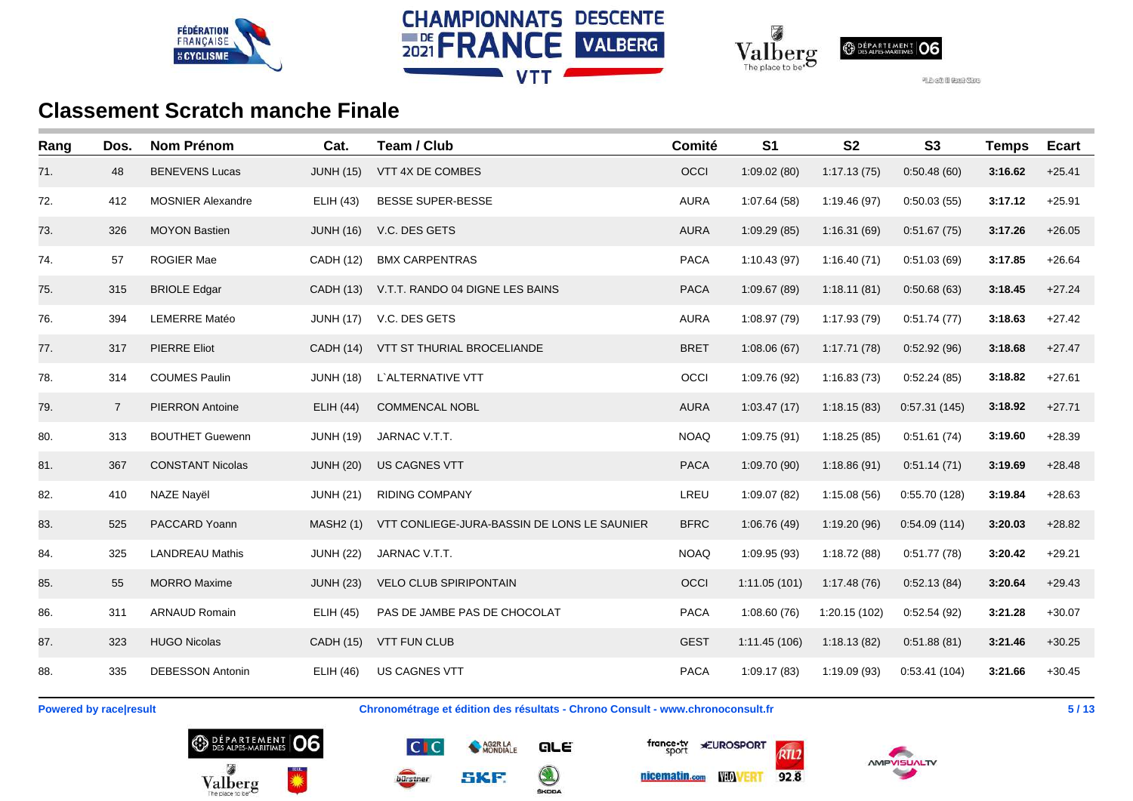





| Rang | Dos.           | <b>Nom Prénom</b>        | Cat.             | Team / Club                                 | Comité      | S <sub>1</sub> | S <sub>2</sub> | S <sub>3</sub> | <b>Temps</b> | <b>Ecart</b> |
|------|----------------|--------------------------|------------------|---------------------------------------------|-------------|----------------|----------------|----------------|--------------|--------------|
| 71.  | 48             | <b>BENEVENS Lucas</b>    | <b>JUNH (15)</b> | VTT 4X DE COMBES                            | OCCI        | 1:09.02(80)    | 1:17.13(75)    | 0:50.48(60)    | 3:16.62      | $+25.41$     |
| 72.  | 412            | <b>MOSNIER Alexandre</b> | <b>ELIH (43)</b> | <b>BESSE SUPER-BESSE</b>                    | <b>AURA</b> | 1:07.64(58)    | 1:19.46(97)    | 0:50.03(55)    | 3:17.12      | $+25.91$     |
| 73.  | 326            | <b>MOYON Bastien</b>     | JUNH (16)        | V.C. DES GETS                               | <b>AURA</b> | 1:09.29(85)    | 1:16.31(69)    | 0:51.67(75)    | 3:17.26      | $+26.05$     |
| 74.  | 57             | <b>ROGIER Mae</b>        | CADH (12)        | <b>BMX CARPENTRAS</b>                       | <b>PACA</b> | 1:10.43(97)    | 1:16.40(71)    | 0:51.03(69)    | 3:17.85      | $+26.64$     |
| 75.  | 315            | <b>BRIOLE Edgar</b>      | CADH (13)        | V.T.T. RANDO 04 DIGNE LES BAINS             | <b>PACA</b> | 1:09.67(89)    | 1:18.11(81)    | 0:50.68(63)    | 3:18.45      | $+27.24$     |
| 76.  | 394            | <b>LEMERRE Matéo</b>     | <b>JUNH (17)</b> | V.C. DES GETS                               | <b>AURA</b> | 1:08.97 (79)   | 1:17.93(79)    | 0:51.74(77)    | 3:18.63      | $+27.42$     |
| 77.  | 317            | PIERRE Eliot             | CADH (14)        | VTT ST THURIAL BROCELIANDE                  | <b>BRET</b> | 1:08.06(67)    | 1:17.71(78)    | 0:52.92(96)    | 3:18.68      | $+27.47$     |
| 78.  | 314            | <b>COUMES Paulin</b>     | <b>JUNH (18)</b> | L'ALTERNATIVE VTT                           | OCCI        | 1:09.76 (92)   | 1:16.83(73)    | 0:52.24(85)    | 3:18.82      | $+27.61$     |
| 79.  | $\overline{7}$ | <b>PIERRON Antoine</b>   | ELIH (44)        | <b>COMMENCAL NOBL</b>                       | <b>AURA</b> | 1:03.47(17)    | 1:18.15(83)    | 0:57.31(145)   | 3:18.92      | $+27.71$     |
| 80.  | 313            | <b>BOUTHET Guewenn</b>   | <b>JUNH (19)</b> | JARNAC V.T.T.                               | <b>NOAQ</b> | 1:09.75 (91)   | 1:18.25(85)    | 0:51.61(74)    | 3:19.60      | $+28.39$     |
| 81.  | 367            | <b>CONSTANT Nicolas</b>  | <b>JUNH (20)</b> | US CAGNES VTT                               | <b>PACA</b> | 1:09.70 (90)   | 1:18.86(91)    | 0:51.14(71)    | 3:19.69      | $+28.48$     |
| 82.  | 410            | NAZE Nayël               | <b>JUNH (21)</b> | <b>RIDING COMPANY</b>                       | LREU        | 1:09.07 (82)   | 1:15.08(56)    | 0:55.70(128)   | 3:19.84      | $+28.63$     |
| 83.  | 525            | PACCARD Yoann            | MASH2 (1)        | VTT CONLIEGE-JURA-BASSIN DE LONS LE SAUNIER | <b>BFRC</b> | 1:06.76(49)    | 1:19.20(96)    | 0:54.09(114)   | 3:20.03      | $+28.82$     |
| 84.  | 325            | <b>LANDREAU Mathis</b>   | <b>JUNH (22)</b> | JARNAC V.T.T.                               | <b>NOAQ</b> | 1:09.95 (93)   | 1:18.72(88)    | 0:51.77(78)    | 3:20.42      | $+29.21$     |
| 85.  | 55             | <b>MORRO</b> Maxime      | <b>JUNH (23)</b> | <b>VELO CLUB SPIRIPONTAIN</b>               | OCCI        | 1:11.05(101)   | 1:17.48(76)    | 0.52.13(84)    | 3:20.64      | $+29.43$     |
| 86.  | 311            | <b>ARNAUD Romain</b>     | ELIH (45)        | PAS DE JAMBE PAS DE CHOCOLAT                | <b>PACA</b> | 1:08.60(76)    | 1:20.15 (102)  | 0:52.54(92)    | 3:21.28      | $+30.07$     |
| 87.  | 323            | <b>HUGO Nicolas</b>      | CADH (15)        | <b>VTT FUN CLUB</b>                         | <b>GEST</b> | 1:11.45(106)   | 1:18.13(82)    | 0:51.88(81)    | 3:21.46      | $+30.25$     |
| 88.  | 335            | <b>DEBESSON Antonin</b>  | ELIH(46)         | US CAGNES VTT                               | <b>PACA</b> | 1:09.17(83)    | 1:19.09 (93)   | 0:53.41(104)   | 3:21.66      | $+30.45$     |

**Powered by race|result Chronométrage et édition des résultats - Chrono Consult - www.chronoconsult.fr 5 / 13**







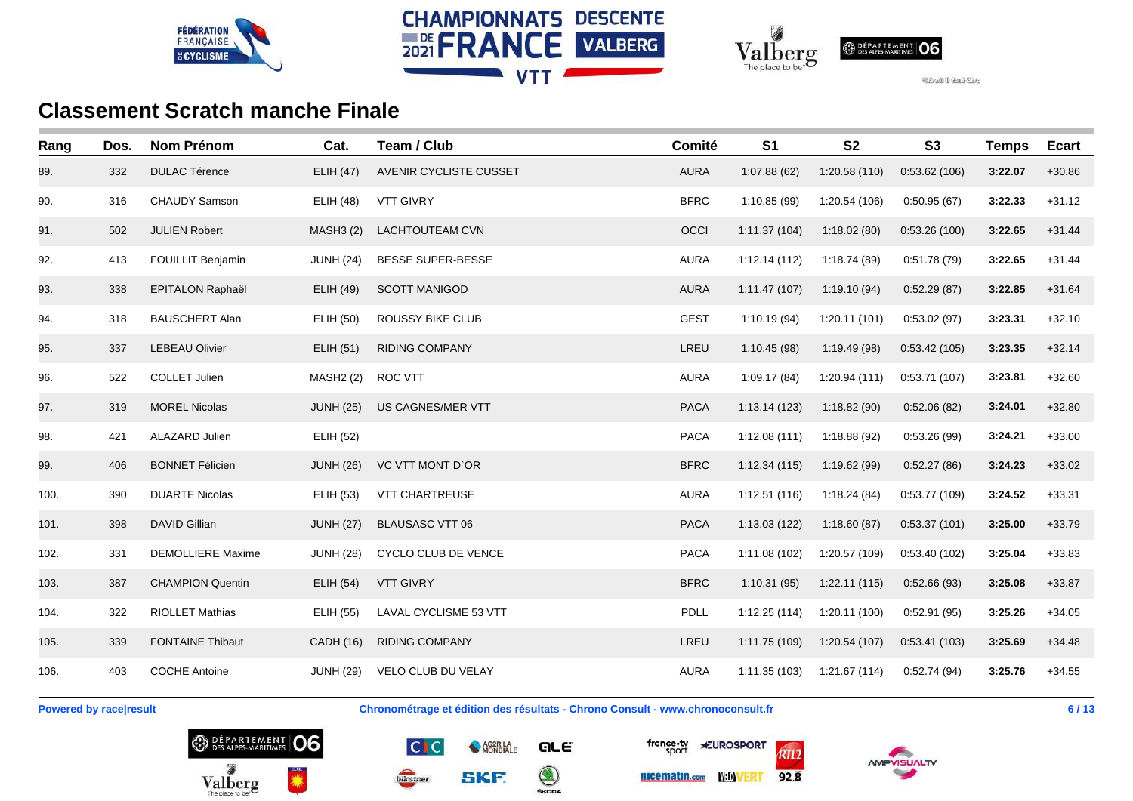





| Rang | Dos. | <b>Nom Prénom</b>        | Cat.             | Team / Club             | Comité      | S <sub>1</sub> | <b>S2</b>     | <b>S3</b>    | <b>Temps</b> | <b>Ecart</b> |
|------|------|--------------------------|------------------|-------------------------|-------------|----------------|---------------|--------------|--------------|--------------|
| 89.  | 332  | <b>DULAC Térence</b>     | <b>ELIH (47)</b> | AVENIR CYCLISTE CUSSET  | <b>AURA</b> | 1:07.88(62)    | 1:20.58(110)  | 0:53.62(106) | 3:22.07      | $+30.86$     |
| 90.  | 316  | <b>CHAUDY Samson</b>     | <b>ELIH (48)</b> | <b>VTT GIVRY</b>        | <b>BFRC</b> | 1:10.85(99)    | 1:20.54 (106) | 0:50.95(67)  | 3:22.33      | $+31.12$     |
| 91.  | 502  | <b>JULIEN Robert</b>     | <b>MASH3 (2)</b> | LACHTOUTEAM CVN         | OCCI        | 1:11.37(104)   | 1:18.02(80)   | 0:53.26(100) | 3:22.65      | $+31.44$     |
| 92.  | 413  | FOUILLIT Benjamin        | <b>JUNH (24)</b> | BESSE SUPER-BESSE       | <b>AURA</b> | 1:12.14(112)   | 1:18.74(89)   | 0:51.78(79)  | 3:22.65      | $+31.44$     |
| 93.  | 338  | <b>EPITALON Raphaël</b>  | ELIH (49)        | <b>SCOTT MANIGOD</b>    | <b>AURA</b> | 1:11.47(107)   | 1:19.10(94)   | 0:52.29(87)  | 3:22.85      | $+31.64$     |
| 94.  | 318  | <b>BAUSCHERT Alan</b>    | <b>ELIH (50)</b> | <b>ROUSSY BIKE CLUB</b> | <b>GEST</b> | 1:10.19(94)    | 1:20.11(101)  | 0:53.02(97)  | 3:23.31      | $+32.10$     |
| 95.  | 337  | <b>LEBEAU Olivier</b>    | <b>ELIH (51)</b> | <b>RIDING COMPANY</b>   | LREU        | 1:10.45(98)    | 1:19.49(98)   | 0:53.42(105) | 3:23.35      | $+32.14$     |
| 96.  | 522  | <b>COLLET Julien</b>     | <b>MASH2 (2)</b> | ROC VTT                 | <b>AURA</b> | 1:09.17(84)    | 1:20.94(111)  | 0:53.71(107) | 3:23.81      | $+32.60$     |
| 97.  | 319  | <b>MOREL Nicolas</b>     | <b>JUNH (25)</b> | US CAGNES/MER VTT       | <b>PACA</b> | 1:13.14(123)   | 1:18.82(90)   | 0:52.06(82)  | 3:24.01      | $+32.80$     |
| 98.  | 421  | <b>ALAZARD Julien</b>    | <b>ELIH (52)</b> |                         | <b>PACA</b> | 1:12.08(111)   | 1:18.88(92)   | 0:53.26(99)  | 3:24.21      | $+33.00$     |
| 99.  | 406  | <b>BONNET Félicien</b>   | <b>JUNH (26)</b> | <b>VC VTT MONT D'OR</b> | <b>BFRC</b> | 1:12.34(115)   | 1:19.62 (99)  | 0.52.27(86)  | 3:24.23      | $+33.02$     |
| 100. | 390  | <b>DUARTE Nicolas</b>    | ELIH (53)        | <b>VTT CHARTREUSE</b>   | <b>AURA</b> | 1:12.51(116)   | 1:18.24(84)   | 0:53.77(109) | 3:24.52      | $+33.31$     |
| 101. | 398  | <b>DAVID Gillian</b>     | <b>JUNH (27)</b> | <b>BLAUSASC VTT 06</b>  | <b>PACA</b> | 1:13.03(122)   | 1:18.60(87)   | 0.53.37(101) | 3:25.00      | $+33.79$     |
| 102. | 331  | <b>DEMOLLIERE Maxime</b> | <b>JUNH (28)</b> | CYCLO CLUB DE VENCE     | <b>PACA</b> | 1:11.08 (102)  | 1:20.57 (109) | 0:53.40(102) | 3:25.04      | $+33.83$     |
| 103. | 387  | <b>CHAMPION Quentin</b>  | <b>ELIH (54)</b> | <b>VTT GIVRY</b>        | <b>BFRC</b> | 1:10.31(95)    | 1:22.11(115)  | 0:52.66(93)  | 3:25.08      | $+33.87$     |
| 104. | 322  | <b>RIOLLET Mathias</b>   | <b>ELIH (55)</b> | LAVAL CYCLISME 53 VTT   | PDLL        | 1:12.25(114)   | 1:20.11 (100) | 0:52.91(95)  | 3:25.26      | $+34.05$     |
| 105. | 339  | <b>FONTAINE Thibaut</b>  | CADH (16)        | <b>RIDING COMPANY</b>   | LREU        | 1:11.75 (109)  | 1:20.54 (107) | 0:53.41(103) | 3:25.69      | $+34.48$     |
| 106. | 403  | <b>COCHE Antoine</b>     | <b>JUNH (29)</b> | VELO CLUB DU VELAY      | <b>AURA</b> | 1:11.35(103)   | 1:21.67 (114) | 0:52.74(94)  | 3:25.76      | $+34.55$     |

**Powered by race|result Chronométrage et édition des résultats - Chrono Consult - www.chronoconsult.fr 6/13** 







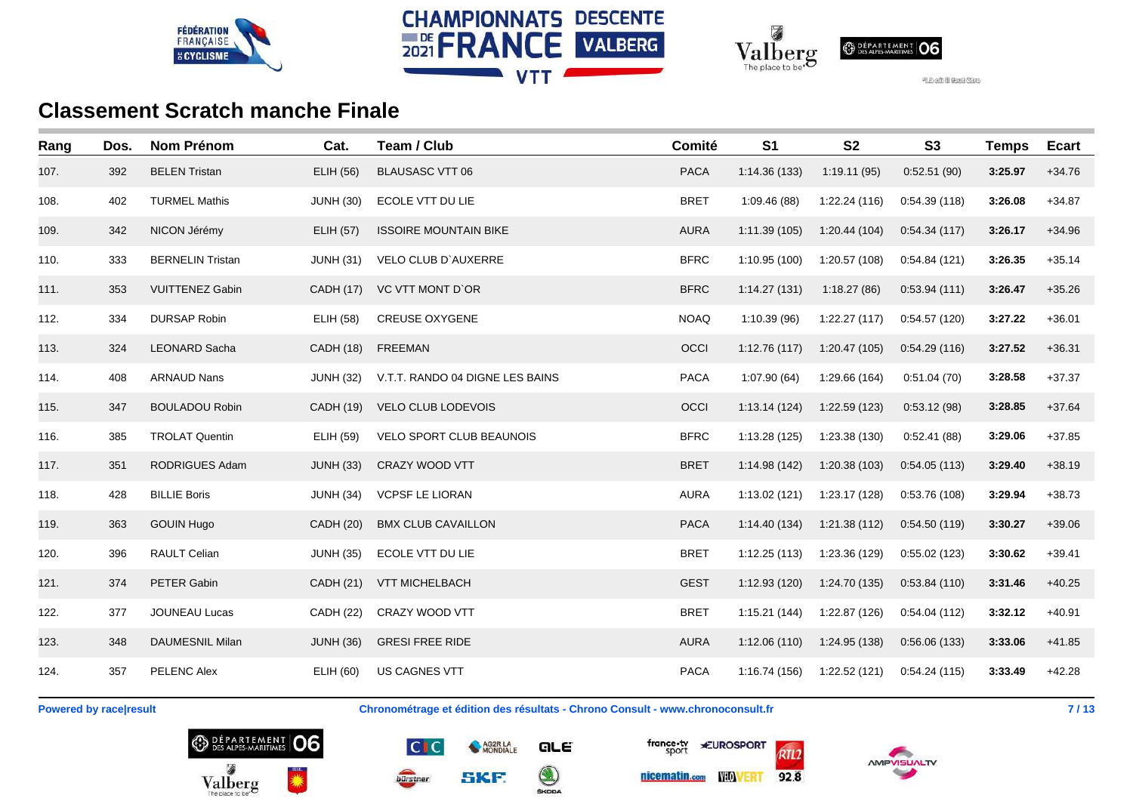





| Rang | Dos. | <b>Nom Prénom</b>       | Cat.             | Team / Club                     | Comité      | S <sub>1</sub> | <b>S2</b>     | <b>S3</b>    | <b>Temps</b> | <b>Ecart</b> |
|------|------|-------------------------|------------------|---------------------------------|-------------|----------------|---------------|--------------|--------------|--------------|
| 107. | 392  | <b>BELEN Tristan</b>    | <b>ELIH (56)</b> | <b>BLAUSASC VTT 06</b>          | <b>PACA</b> | 1:14.36 (133)  | 1:19.11(95)   | 0:52.51(90)  | 3:25.97      | $+34.76$     |
| 108. | 402  | <b>TURMEL Mathis</b>    | <b>JUNH (30)</b> | ECOLE VTT DU LIE                | <b>BRET</b> | 1:09.46(88)    | 1:22.24(116)  | 0:54.39(118) | 3:26.08      | $+34.87$     |
| 109. | 342  | NICON Jérémy            | <b>ELIH (57)</b> | <b>ISSOIRE MOUNTAIN BIKE</b>    | <b>AURA</b> | 1:11.39(105)   | 1:20.44(104)  | 0.54.34(117) | 3:26.17      | $+34.96$     |
| 110. | 333  | <b>BERNELIN Tristan</b> | <b>JUNH (31)</b> | <b>VELO CLUB D'AUXERRE</b>      | <b>BFRC</b> | 1:10.95 (100)  | 1:20.57 (108) | 0:54.84(121) | 3:26.35      | $+35.14$     |
| 111. | 353  | <b>VUITTENEZ Gabin</b>  | CADH (17)        | VC VTT MONT D'OR                | <b>BFRC</b> | 1:14.27(131)   | 1:18.27(86)   | 0.53.94(111) | 3:26.47      | $+35.26$     |
| 112. | 334  | <b>DURSAP Robin</b>     | <b>ELIH (58)</b> | <b>CREUSE OXYGENE</b>           | <b>NOAQ</b> | 1:10.39 (96)   | 1:22.27(117)  | 0:54.57(120) | 3:27.22      | $+36.01$     |
| 113. | 324  | <b>LEONARD Sacha</b>    | CADH (18)        | FREEMAN                         | OCCI        | 1:12.76(117)   | 1:20.47 (105) | 0:54.29(116) | 3:27.52      | $+36.31$     |
| 114. | 408  | <b>ARNAUD Nans</b>      | <b>JUNH (32)</b> | V.T.T. RANDO 04 DIGNE LES BAINS | <b>PACA</b> | 1:07.90(64)    | 1:29.66 (164) | 0:51.04(70)  | 3:28.58      | $+37.37$     |
| 115. | 347  | <b>BOULADOU Robin</b>   | CADH (19)        | VELO CLUB LODEVOIS              | OCCI        | 1:13.14(124)   | 1:22.59 (123) | 0:53.12(98)  | 3:28.85      | $+37.64$     |
| 116. | 385  | <b>TROLAT Quentin</b>   | ELIH (59)        | VELO SPORT CLUB BEAUNOIS        | <b>BFRC</b> | 1:13.28(125)   | 1:23.38 (130) | 0:52.41(88)  | 3:29.06      | $+37.85$     |
| 117. | 351  | RODRIGUES Adam          | <b>JUNH (33)</b> | CRAZY WOOD VTT                  | <b>BRET</b> | 1:14.98(142)   | 1:20.38 (103) | 0.54.05(113) | 3:29.40      | $+38.19$     |
| 118. | 428  | <b>BILLIE Boris</b>     | <b>JUNH (34)</b> | <b>VCPSF LE LIORAN</b>          | <b>AURA</b> | 1:13.02(121)   | 1:23.17 (128) | 0:53.76(108) | 3:29.94      | $+38.73$     |
| 119. | 363  | <b>GOUIN Hugo</b>       | <b>CADH (20)</b> | <b>BMX CLUB CAVAILLON</b>       | <b>PACA</b> | 1:14.40(134)   | 1:21.38 (112) | 0.54.50(119) | 3:30.27      | $+39.06$     |
| 120. | 396  | RAULT Celian            | <b>JUNH (35)</b> | ECOLE VTT DU LIE                | <b>BRET</b> | 1:12.25(113)   | 1:23.36 (129) | 0:55.02(123) | 3:30.62      | $+39.41$     |
| 121. | 374  | PETER Gabin             | CADH (21)        | <b>VTT MICHELBACH</b>           | <b>GEST</b> | 1:12.93(120)   | 1:24.70 (135) | 0.53.84(110) | 3:31.46      | $+40.25$     |
| 122. | 377  | JOUNEAU Lucas           | <b>CADH (22)</b> | CRAZY WOOD VTT                  | <b>BRET</b> | 1:15.21(144)   | 1:22.87 (126) | 0:54.04(112) | 3:32.12      | $+40.91$     |
| 123. | 348  | <b>DAUMESNIL Milan</b>  | <b>JUNH (36)</b> | <b>GRESI FREE RIDE</b>          | <b>AURA</b> | 1:12.06(110)   | 1:24.95 (138) | 0:56.06(133) | 3:33.06      | $+41.85$     |
| 124. | 357  | <b>PELENC Alex</b>      | ELIH (60)        | <b>US CAGNES VTT</b>            | <b>PACA</b> | 1:16.74(156)   | 1:22.52 (121) | 0:54.24(115) | 3:33.49      | $+42.28$     |

**Powered by race|result Chronométrage et édition des résultats - Chrono Consult - www.chronoconsult.fr 7 / 13**









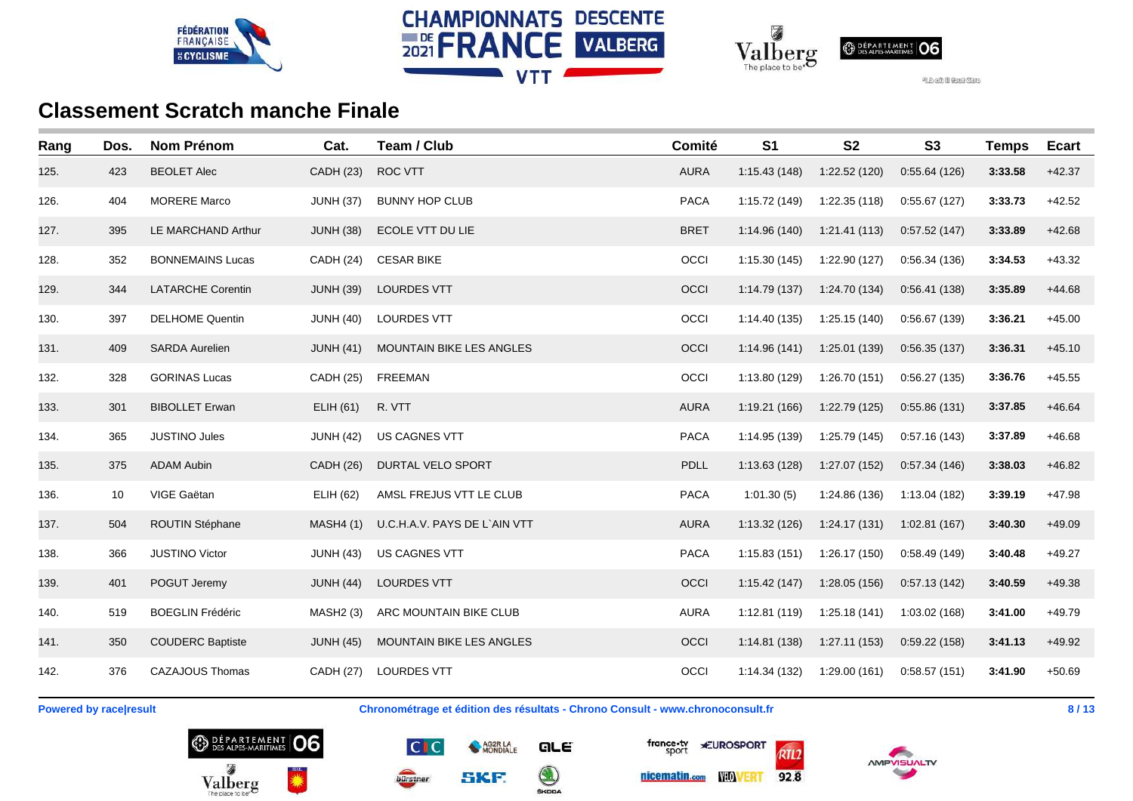





| Rang | Dos. | <b>Nom Prénom</b>        | Cat.             | Team / Club                     | Comité      | S <sub>1</sub> | <b>S2</b>     | S <sub>3</sub> | <b>Temps</b> | <b>Ecart</b> |
|------|------|--------------------------|------------------|---------------------------------|-------------|----------------|---------------|----------------|--------------|--------------|
| 125. | 423  | <b>BEOLET Alec</b>       | CADH (23)        | <b>ROC VTT</b>                  | <b>AURA</b> | 1:15.43(148)   | 1:22.52 (120) | 0:55.64(126)   | 3:33.58      | $+42.37$     |
| 126. | 404  | <b>MORERE Marco</b>      | <b>JUNH (37)</b> | <b>BUNNY HOP CLUB</b>           | <b>PACA</b> | 1:15.72 (149)  | 1:22.35 (118) | 0:55.67(127)   | 3:33.73      | $+42.52$     |
| 127. | 395  | LE MARCHAND Arthur       | <b>JUNH (38)</b> | ECOLE VTT DU LIE                | <b>BRET</b> | 1:14.96(140)   | 1:21.41(113)  | 0:57.52(147)   | 3:33.89      | $+42.68$     |
| 128. | 352  | <b>BONNEMAINS Lucas</b>  | CADH (24)        | <b>CESAR BIKE</b>               | OCCI        | 1:15.30(145)   | 1:22.90 (127) | 0:56.34(136)   | 3:34.53      | $+43.32$     |
| 129. | 344  | <b>LATARCHE Corentin</b> | <b>JUNH (39)</b> | <b>LOURDES VTT</b>              | OCCI        | 1:14.79(137)   | 1:24.70 (134) | 0:56.41(138)   | 3:35.89      | $+44.68$     |
| 130. | 397  | <b>DELHOME Quentin</b>   | <b>JUNH (40)</b> | <b>LOURDES VTT</b>              | OCCI        | 1:14.40 (135)  | 1:25.15(140)  | 0:56.67(139)   | 3:36.21      | $+45.00$     |
| 131. | 409  | <b>SARDA Aurelien</b>    | <b>JUNH (41)</b> | <b>MOUNTAIN BIKE LES ANGLES</b> | OCCI        | 1:14.96(141)   | 1:25.01 (139) | 0.56.35(137)   | 3:36.31      | $+45.10$     |
| 132. | 328  | <b>GORINAS Lucas</b>     | <b>CADH (25)</b> | <b>FREEMAN</b>                  | OCCI        | 1:13.80 (129)  | 1:26.70 (151) | 0:56.27(135)   | 3:36.76      | $+45.55$     |
| 133. | 301  | <b>BIBOLLET Erwan</b>    | ELIH (61)        | R. VTT                          | <b>AURA</b> | 1:19.21 (166)  | 1:22.79 (125) | 0:55.86(131)   | 3:37.85      | $+46.64$     |
| 134. | 365  | <b>JUSTINO Jules</b>     | <b>JUNH (42)</b> | <b>US CAGNES VTT</b>            | <b>PACA</b> | 1:14.95 (139)  | 1:25.79 (145) | 0:57.16(143)   | 3:37.89      | $+46.68$     |
| 135. | 375  | <b>ADAM Aubin</b>        | <b>CADH (26)</b> | <b>DURTAL VELO SPORT</b>        | PDLL        | 1:13.63(128)   | 1:27.07 (152) | 0:57.34(146)   | 3:38.03      | $+46.82$     |
| 136. | 10   | VIGE Gaëtan              | ELIH (62)        | AMSL FREJUS VTT LE CLUB         | <b>PACA</b> | 1:01.30(5)     | 1:24.86 (136) | 1:13.04 (182)  | 3:39.19      | $+47.98$     |
| 137. | 504  | ROUTIN Stéphane          | <b>MASH4 (1)</b> | U.C.H.A.V. PAYS DE L`AIN VTT    | <b>AURA</b> | 1:13.32 (126)  | 1:24.17(131)  | 1:02.81(167)   | 3:40.30      | $+49.09$     |
| 138. | 366  | <b>JUSTINO Victor</b>    | <b>JUNH (43)</b> | US CAGNES VTT                   | <b>PACA</b> | 1:15.83(151)   | 1:26.17 (150) | 0:58.49(149)   | 3:40.48      | $+49.27$     |
| 139. | 401  | POGUT Jeremy             | <b>JUNH (44)</b> | <b>LOURDES VTT</b>              | OCCI        | 1:15.42(147)   | 1:28.05 (156) | 0:57.13(142)   | 3:40.59      | $+49.38$     |
| 140. | 519  | <b>BOEGLIN Frédéric</b>  | MASH2 (3)        | ARC MOUNTAIN BIKE CLUB          | <b>AURA</b> | 1:12.81(119)   | 1:25.18(141)  | 1:03.02 (168)  | 3:41.00      | $+49.79$     |
| 141. | 350  | <b>COUDERC Baptiste</b>  | <b>JUNH (45)</b> | <b>MOUNTAIN BIKE LES ANGLES</b> | OCCI        | 1:14.81(138)   | 1:27.11(153)  | 0.59.22(158)   | 3:41.13      | $+49.92$     |
| 142. | 376  | <b>CAZAJOUS Thomas</b>   | CADH (27)        | <b>LOURDES VTT</b>              | OCCI        | 1:14.34 (132)  | 1:29.00(161)  | 0:58.57(151)   | 3:41.90      | $+50.69$     |

**Powered by race|result Chronométrage et édition des résultats - Chrono Consult - www.chronoconsult.fr 8/13** 









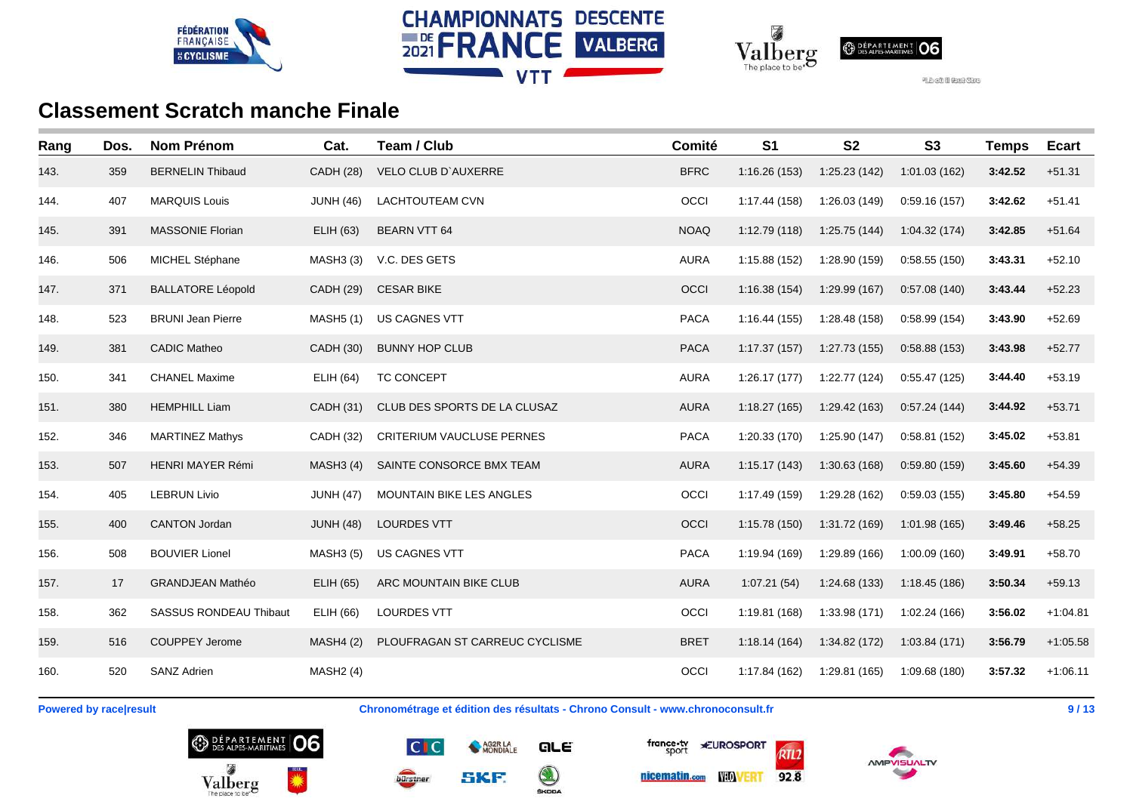





| Rang | Dos. | <b>Nom Prénom</b>             | Cat.             | Team / Club                      | Comité      | S <sub>1</sub> | S <sub>2</sub> | S <sub>3</sub> | <b>Temps</b> | <b>Ecart</b> |
|------|------|-------------------------------|------------------|----------------------------------|-------------|----------------|----------------|----------------|--------------|--------------|
| 143. | 359  | <b>BERNELIN Thibaud</b>       | <b>CADH (28)</b> | <b>VELO CLUB D'AUXERRE</b>       | <b>BFRC</b> | 1:16.26(153)   | 1:25.23 (142)  | 1:01.03(162)   | 3:42.52      | $+51.31$     |
| 144. | 407  | <b>MARQUIS Louis</b>          | <b>JUNH (46)</b> | <b>LACHTOUTEAM CVN</b>           | OCCI        | 1:17.44 (158)  | 1:26.03 (149)  | 0:59.16(157)   | 3:42.62      | $+51.41$     |
| 145. | 391  | <b>MASSONIE Florian</b>       | ELIH (63)        | <b>BEARN VTT 64</b>              | <b>NOAQ</b> | 1:12.79(118)   | 1:25.75 (144)  | 1:04.32(174)   | 3:42.85      | $+51.64$     |
| 146. | 506  | MICHEL Stéphane               | <b>MASH3 (3)</b> | V.C. DES GETS                    | <b>AURA</b> | 1:15.88(152)   | 1:28.90 (159)  | 0:58.55(150)   | 3:43.31      | $+52.10$     |
| 147. | 371  | <b>BALLATORE Léopold</b>      | CADH (29)        | <b>CESAR BIKE</b>                | OCCI        | 1:16.38(154)   | 1:29.99 (167)  | 0:57.08(140)   | 3:43.44      | $+52.23$     |
| 148. | 523  | <b>BRUNI Jean Pierre</b>      | <b>MASH5 (1)</b> | <b>US CAGNES VTT</b>             | <b>PACA</b> | 1:16.44(155)   | 1:28.48 (158)  | 0:58.99(154)   | 3:43.90      | $+52.69$     |
| 149. | 381  | <b>CADIC Matheo</b>           | CADH (30)        | <b>BUNNY HOP CLUB</b>            | <b>PACA</b> | 1:17.37(157)   | 1:27.73 (155)  | 0:58.88(153)   | 3:43.98      | $+52.77$     |
| 150. | 341  | <b>CHANEL Maxime</b>          | ELIH (64)        | <b>TC CONCEPT</b>                | <b>AURA</b> | 1:26.17(177)   | 1:22.77 (124)  | 0:55.47(125)   | 3:44.40      | $+53.19$     |
| 151. | 380  | <b>HEMPHILL Liam</b>          | CADH (31)        | CLUB DES SPORTS DE LA CLUSAZ     | <b>AURA</b> | 1:18.27(165)   | 1:29.42 (163)  | 0.57.24(144)   | 3:44.92      | $+53.71$     |
| 152. | 346  | <b>MARTINEZ Mathys</b>        | <b>CADH (32)</b> | <b>CRITERIUM VAUCLUSE PERNES</b> | <b>PACA</b> | 1:20.33 (170)  | 1:25.90 (147)  | 0:58.81(152)   | 3:45.02      | $+53.81$     |
| 153. | 507  | HENRI MAYER Rémi              | MASH3(4)         | SAINTE CONSORCE BMX TEAM         | <b>AURA</b> | 1:15.17(143)   | 1:30.63 (168)  | 0.59.80(159)   | 3:45.60      | $+54.39$     |
| 154. | 405  | <b>LEBRUN Livio</b>           | <b>JUNH (47)</b> | MOUNTAIN BIKE LES ANGLES         | OCCI        | 1:17.49 (159)  | 1:29.28 (162)  | 0:59.03(155)   | 3:45.80      | $+54.59$     |
| 155. | 400  | <b>CANTON Jordan</b>          | <b>JUNH (48)</b> | <b>LOURDES VTT</b>               | OCCI        | 1:15.78(150)   | 1:31.72 (169)  | 1:01.98(165)   | 3:49.46      | $+58.25$     |
| 156. | 508  | <b>BOUVIER Lionel</b>         | <b>MASH3 (5)</b> | US CAGNES VTT                    | <b>PACA</b> | 1:19.94 (169)  | 1:29.89 (166)  | 1:00.09(160)   | 3:49.91      | $+58.70$     |
| 157. | 17   | <b>GRANDJEAN Mathéo</b>       | ELIH (65)        | ARC MOUNTAIN BIKE CLUB           | <b>AURA</b> | 1:07.21(54)    | 1:24.68 (133)  | 1:18.45(186)   | 3:50.34      | $+59.13$     |
| 158. | 362  | <b>SASSUS RONDEAU Thibaut</b> | ELIH (66)        | <b>LOURDES VTT</b>               | OCCI        | 1:19.81 (168)  | 1:33.98 (171)  | 1:02.24 (166)  | 3:56.02      | $+1:04.81$   |
| 159. | 516  | <b>COUPPEY Jerome</b>         | <b>MASH4 (2)</b> | PLOUFRAGAN ST CARREUC CYCLISME   | <b>BRET</b> | 1:18.14(164)   | 1:34.82 (172)  | 1:03.84(171)   | 3:56.79      | $+1:05.58$   |
| 160. | 520  | <b>SANZ Adrien</b>            | MASH2(4)         |                                  | OCCI        | 1:17.84 (162)  | 1:29.81 (165)  | 1:09.68(180)   | 3:57.32      | $+1:06.11$   |

**Powered by race|result Chronométrage et édition des résultats - Chrono Consult - www.chronoconsult.fr Propose and Allen Chronométrage et édition des résultats - Chrono Consult - www.chronoconsult.fr Propose and Alle** 









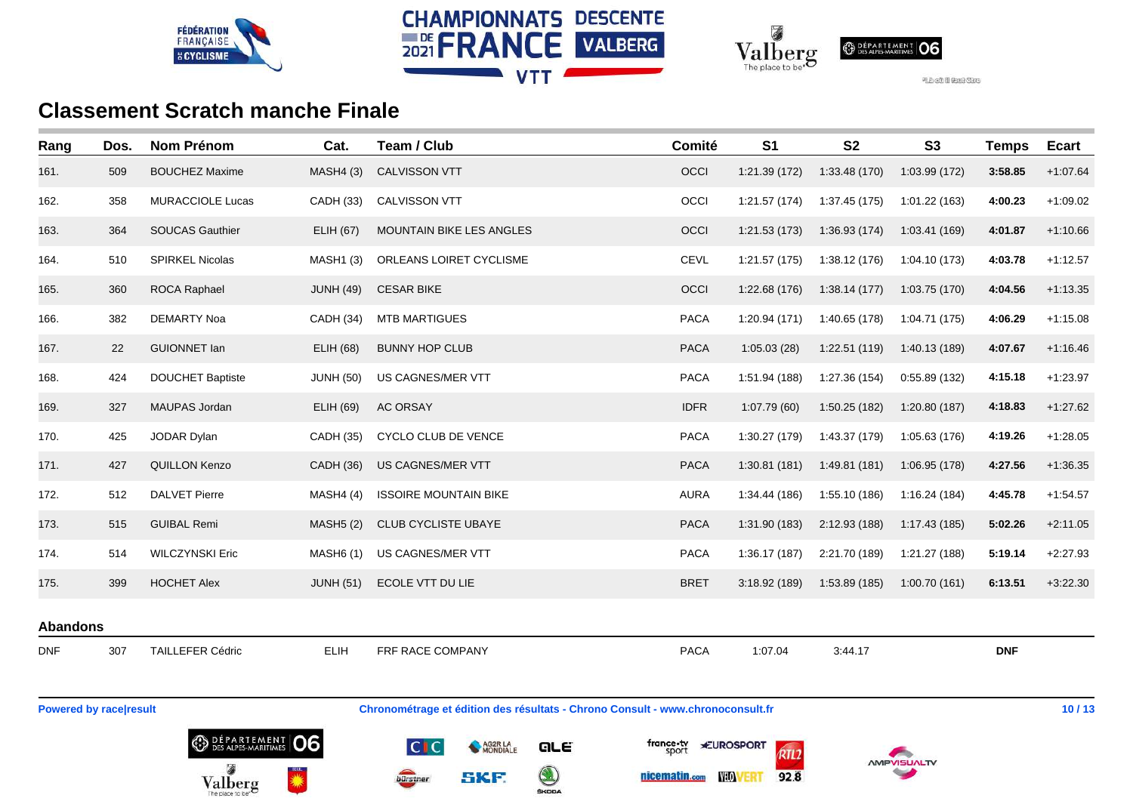





| Rang                          | Dos. | <b>Nom Prénom</b>       | Cat.             | Team / Club                                                                    | Comité      | S <sub>1</sub>                       | <b>S2</b>     | S <sub>3</sub> | <b>Temps</b> | <b>Ecart</b> |
|-------------------------------|------|-------------------------|------------------|--------------------------------------------------------------------------------|-------------|--------------------------------------|---------------|----------------|--------------|--------------|
| 161.                          | 509  | <b>BOUCHEZ Maxime</b>   | <b>MASH4 (3)</b> | CALVISSON VTT                                                                  | OCCI        | 1:21.39 (172)                        | 1:33.48 (170) | 1:03.99 (172)  | 3:58.85      | $+1:07.64$   |
| 162.                          | 358  | MURACCIOLE Lucas        | CADH (33)        | CALVISSON VTT                                                                  | OCCI        | 1:21.57(174)                         | 1:37.45 (175) | 1:01.22(163)   | 4:00.23      | $+1:09.02$   |
| 163.                          | 364  | SOUCAS Gauthier         | <b>ELIH (67)</b> | MOUNTAIN BIKE LES ANGLES                                                       | OCCI        | 1:21.53(173)                         | 1:36.93 (174) | 1:03.41 (169)  | 4:01.87      | $+1:10.66$   |
| 164.                          | 510  | SPIRKEL Nicolas         | MASH1 (3)        | ORLEANS LOIRET CYCLISME                                                        | CEVL        | 1:21.57(175)                         | 1:38.12 (176) | 1:04.10 (173)  | 4:03.78      | $+1:12.57$   |
| 165.                          | 360  | <b>ROCA Raphael</b>     | <b>JUNH (49)</b> | <b>CESAR BIKE</b>                                                              | OCCI        | 1:22.68(176)                         | 1:38.14(177)  | 1:03.75 (170)  | 4:04.56      | $+1:13.35$   |
| 166.                          | 382  | <b>DEMARTY Noa</b>      | <b>CADH (34)</b> | <b>MTB MARTIGUES</b>                                                           | <b>PACA</b> | 1:20.94(171)                         | 1:40.65 (178) | 1:04.71 (175)  | 4:06.29      | $+1:15.08$   |
| 167.                          | 22   | <b>GUIONNET lan</b>     | <b>ELIH (68)</b> | <b>BUNNY HOP CLUB</b>                                                          | <b>PACA</b> | 1:05.03(28)                          | 1:22.51(119)  | 1:40.13 (189)  | 4:07.67      | $+1:16.46$   |
| 168.                          | 424  | <b>DOUCHET Baptiste</b> | <b>JUNH (50)</b> | US CAGNES/MER VTT                                                              | <b>PACA</b> | 1:51.94 (188)                        | 1:27.36 (154) | 0:55.89(132)   | 4:15.18      | $+1:23.97$   |
| 169.                          | 327  | MAUPAS Jordan           | ELIH (69)        | AC ORSAY                                                                       | <b>IDFR</b> | 1:07.79(60)                          | 1:50.25 (182) | 1:20.80(187)   | 4:18.83      | $+1:27.62$   |
| 170.                          | 425  | JODAR Dylan             | <b>CADH (35)</b> | CYCLO CLUB DE VENCE                                                            | <b>PACA</b> | 1:30.27 (179)                        | 1:43.37 (179) | 1:05.63 (176)  | 4:19.26      | $+1:28.05$   |
| 171.                          | 427  | QUILLON Kenzo           | <b>CADH (36)</b> | US CAGNES/MER VTT                                                              | <b>PACA</b> | 1:30.81(181)                         | 1:49.81 (181) | 1:06.95 (178)  | 4:27.56      | $+1:36.35$   |
| 172.                          | 512  | <b>DALVET Pierre</b>    | <b>MASH4 (4)</b> | <b>ISSOIRE MOUNTAIN BIKE</b>                                                   | <b>AURA</b> | 1:34.44 (186)                        | 1:55.10 (186) | 1:16.24 (184)  | 4:45.78      | $+1:54.57$   |
| 173.                          | 515  | <b>GUIBAL Remi</b>      | <b>MASH5 (2)</b> | CLUB CYCLISTE UBAYE                                                            | <b>PACA</b> | 1:31.90(183)                         | 2:12.93 (188) | 1:17.43 (185)  | 5:02.26      | $+2:11.05$   |
| 174.                          | 514  | <b>WILCZYNSKI Eric</b>  | <b>MASH6 (1)</b> | US CAGNES/MER VTT                                                              | <b>PACA</b> | 1:36.17(187)                         | 2:21.70 (189) | 1:21.27 (188)  | 5:19.14      | $+2:27.93$   |
| 175.                          | 399  | <b>HOCHET Alex</b>      | <b>JUNH (51)</b> | ECOLE VTT DU LIE                                                               | <b>BRET</b> | 3:18.92(189)                         | 1:53.89 (185) | 1:00.70(161)   | 6:13.51      | $+3:22.30$   |
| <b>Abandons</b>               |      |                         |                  |                                                                                |             |                                      |               |                |              |              |
| <b>DNF</b>                    | 307  | <b>TAILLEFER Cédric</b> | ELIH             | FRF RACE COMPANY                                                               | <b>PACA</b> | 1:07.04                              | 3:44.17       |                | <b>DNF</b>   |              |
|                               |      |                         |                  |                                                                                |             |                                      |               |                |              |              |
| <b>Powered by race result</b> |      |                         |                  | Chronométrage et édition des résultats - Chrono Consult - www.chronoconsult.fr |             |                                      |               |                |              | 10/13        |
|                               |      | <b>BEPARTEMENT 06</b>   |                  | <b>CIC</b><br>AG2R LA<br>QLE                                                   | france.tv   | <b>*EUROSPORT</b><br>6n <sub>2</sub> |               |                |              |              |

 $\bigcirc$ 

**SKF** 

bürstner





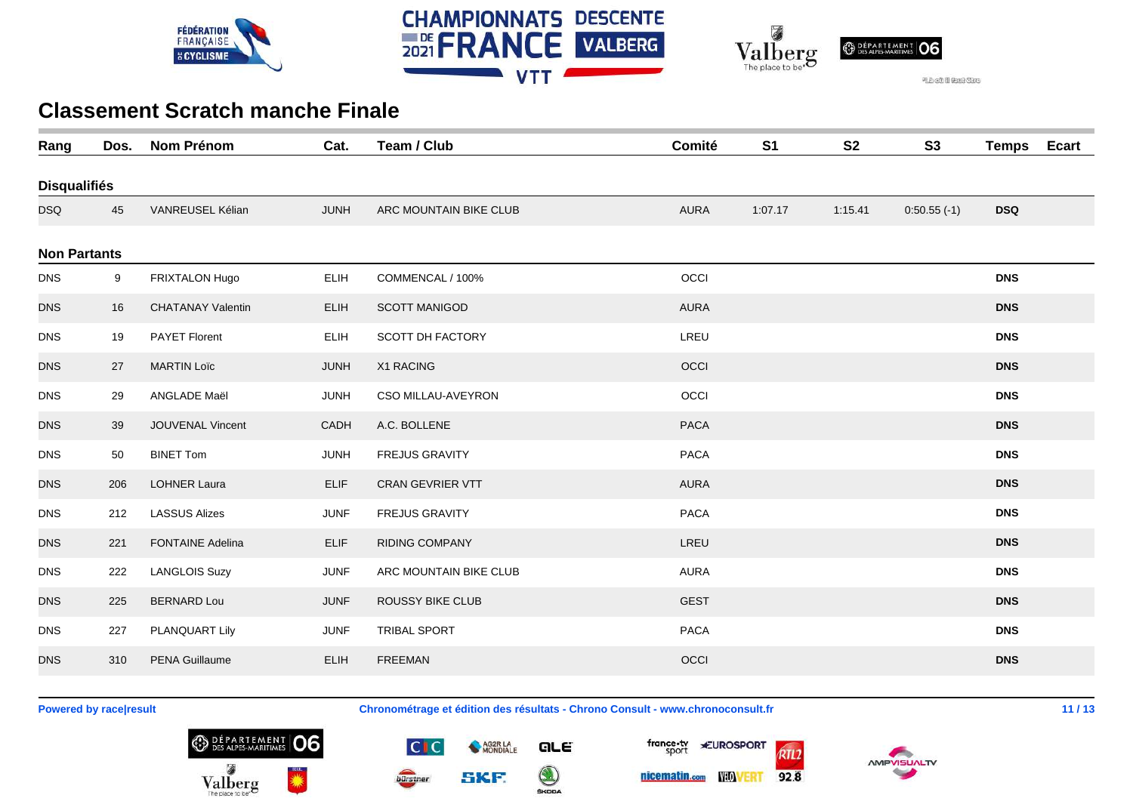





| Rang                | Dos. | <b>Nom Prénom</b>        | Cat.        | Team / Club            | Comité      | S <sub>1</sub> | <b>S2</b> | S <sub>3</sub> | <b>Temps</b> | <b>Ecart</b> |
|---------------------|------|--------------------------|-------------|------------------------|-------------|----------------|-----------|----------------|--------------|--------------|
| <b>Disqualifiés</b> |      |                          |             |                        |             |                |           |                |              |              |
| <b>DSQ</b>          | 45   | VANREUSEL Kélian         | <b>JUNH</b> | ARC MOUNTAIN BIKE CLUB | <b>AURA</b> | 1:07.17        | 1:15.41   | $0:50.55(-1)$  | <b>DSQ</b>   |              |
| <b>Non Partants</b> |      |                          |             |                        |             |                |           |                |              |              |
| <b>DNS</b>          | 9    | FRIXTALON Hugo           | <b>ELIH</b> | COMMENCAL / 100%       | OCCI        |                |           |                | <b>DNS</b>   |              |
| <b>DNS</b>          | 16   | <b>CHATANAY Valentin</b> | <b>ELIH</b> | <b>SCOTT MANIGOD</b>   | <b>AURA</b> |                |           |                | <b>DNS</b>   |              |
| <b>DNS</b>          | 19   | PAYET Florent            | <b>ELIH</b> | SCOTT DH FACTORY       | LREU        |                |           |                | <b>DNS</b>   |              |
| <b>DNS</b>          | 27   | <b>MARTIN Loïc</b>       | <b>JUNH</b> | X1 RACING              | OCCI        |                |           |                | <b>DNS</b>   |              |
| <b>DNS</b>          | 29   | ANGLADE Maël             | <b>JUNH</b> | CSO MILLAU-AVEYRON     | OCCI        |                |           |                | <b>DNS</b>   |              |
| <b>DNS</b>          | 39   | JOUVENAL Vincent         | CADH        | A.C. BOLLENE           | <b>PACA</b> |                |           |                | <b>DNS</b>   |              |
| <b>DNS</b>          | 50   | <b>BINET Tom</b>         | <b>JUNH</b> | FREJUS GRAVITY         | <b>PACA</b> |                |           |                | <b>DNS</b>   |              |
| <b>DNS</b>          | 206  | <b>LOHNER Laura</b>      | <b>ELIF</b> | CRAN GEVRIER VTT       | AURA        |                |           |                | <b>DNS</b>   |              |
| <b>DNS</b>          | 212  | <b>LASSUS Alizes</b>     | <b>JUNF</b> | FREJUS GRAVITY         | <b>PACA</b> |                |           |                | <b>DNS</b>   |              |
| <b>DNS</b>          | 221  | <b>FONTAINE Adelina</b>  | <b>ELIF</b> | <b>RIDING COMPANY</b>  | LREU        |                |           |                | <b>DNS</b>   |              |
| <b>DNS</b>          | 222  | <b>LANGLOIS Suzy</b>     | <b>JUNF</b> | ARC MOUNTAIN BIKE CLUB | <b>AURA</b> |                |           |                | <b>DNS</b>   |              |
| <b>DNS</b>          | 225  | <b>BERNARD Lou</b>       | <b>JUNF</b> | ROUSSY BIKE CLUB       | <b>GEST</b> |                |           |                | <b>DNS</b>   |              |
| <b>DNS</b>          | 227  | PLANQUART Lily           | <b>JUNF</b> | TRIBAL SPORT           | PACA        |                |           |                | <b>DNS</b>   |              |
| <b>DNS</b>          | 310  | PENA Guillaume           | ELIH        | <b>FREEMAN</b>         | OCCI        |                |           |                | <b>DNS</b>   |              |

**Powered by race|result Chronométrage et édition des résultats - Chrono Consult - www.chronoconsult.fr 11 / 13**







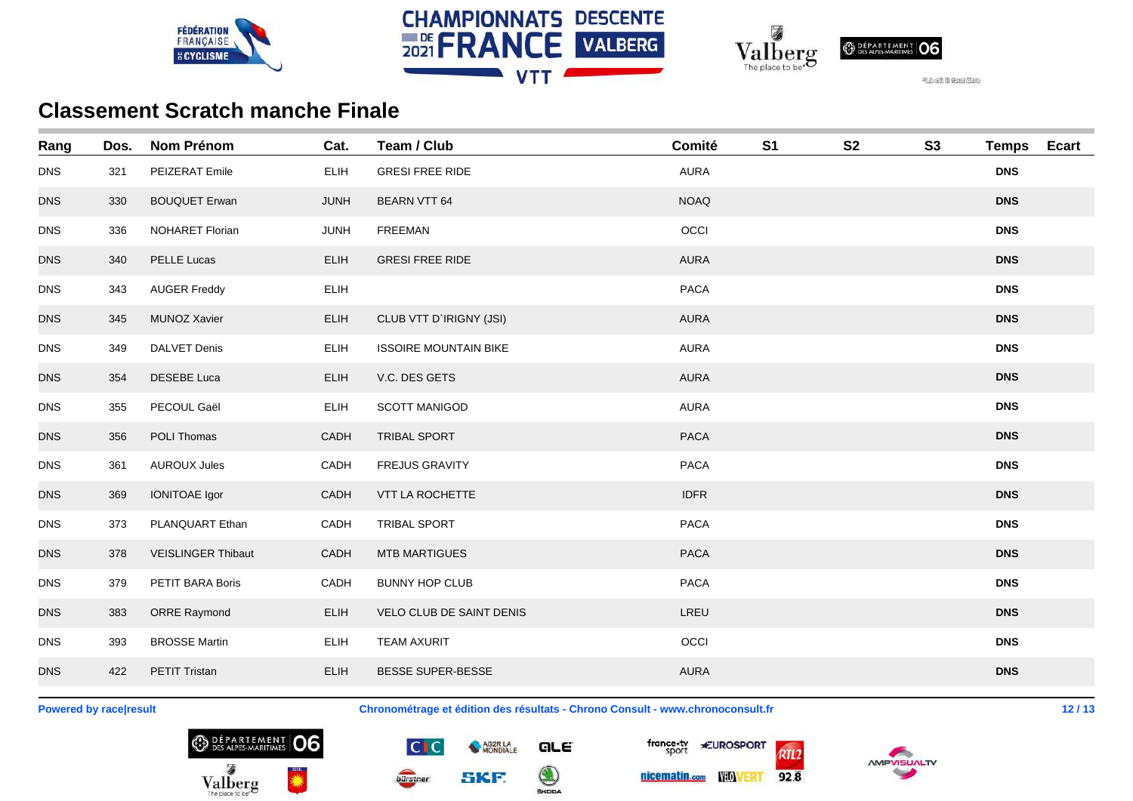





| Rang       | Dos. | <b>Nom Prénom</b>         | Cat.        | Team / Club                  | Comité      | S <sub>1</sub> | <b>S2</b> | S3 | <b>Temps</b> | <b>Ecart</b> |
|------------|------|---------------------------|-------------|------------------------------|-------------|----------------|-----------|----|--------------|--------------|
| <b>DNS</b> | 321  | PEIZERAT Emile            | <b>ELIH</b> | <b>GRESI FREE RIDE</b>       | <b>AURA</b> |                |           |    | <b>DNS</b>   |              |
| <b>DNS</b> | 330  | <b>BOUQUET Erwan</b>      | <b>JUNH</b> | <b>BEARN VTT 64</b>          | <b>NOAQ</b> |                |           |    | <b>DNS</b>   |              |
| <b>DNS</b> | 336  | NOHARET Florian           | <b>JUNH</b> | FREEMAN                      | OCCI        |                |           |    | <b>DNS</b>   |              |
| <b>DNS</b> | 340  | <b>PELLE Lucas</b>        | <b>ELIH</b> | <b>GRESI FREE RIDE</b>       | <b>AURA</b> |                |           |    | <b>DNS</b>   |              |
| <b>DNS</b> | 343  | <b>AUGER Freddy</b>       | ELIH        |                              | PACA        |                |           |    | <b>DNS</b>   |              |
| <b>DNS</b> | 345  | <b>MUNOZ Xavier</b>       | ELIH        | CLUB VTT D'IRIGNY (JSI)      | <b>AURA</b> |                |           |    | <b>DNS</b>   |              |
| <b>DNS</b> | 349  | <b>DALVET Denis</b>       | ELIH        | <b>ISSOIRE MOUNTAIN BIKE</b> | <b>AURA</b> |                |           |    | <b>DNS</b>   |              |
| <b>DNS</b> | 354  | <b>DESEBE Luca</b>        | <b>ELIH</b> | V.C. DES GETS                | <b>AURA</b> |                |           |    | <b>DNS</b>   |              |
| <b>DNS</b> | 355  | PECOUL Gaël               | <b>ELIH</b> | <b>SCOTT MANIGOD</b>         | AURA        |                |           |    | <b>DNS</b>   |              |
| <b>DNS</b> | 356  | POLI Thomas               | CADH        | <b>TRIBAL SPORT</b>          | <b>PACA</b> |                |           |    | <b>DNS</b>   |              |
| <b>DNS</b> | 361  | <b>AUROUX Jules</b>       | CADH        | <b>FREJUS GRAVITY</b>        | <b>PACA</b> |                |           |    | <b>DNS</b>   |              |
| <b>DNS</b> | 369  | <b>IONITOAE Igor</b>      | CADH        | VTT LA ROCHETTE              | <b>IDFR</b> |                |           |    | <b>DNS</b>   |              |
| <b>DNS</b> | 373  | PLANQUART Ethan           | CADH        | <b>TRIBAL SPORT</b>          | <b>PACA</b> |                |           |    | <b>DNS</b>   |              |
| <b>DNS</b> | 378  | <b>VEISLINGER Thibaut</b> | CADH        | <b>MTB MARTIGUES</b>         | <b>PACA</b> |                |           |    | <b>DNS</b>   |              |
| <b>DNS</b> | 379  | PETIT BARA Boris          | CADH        | <b>BUNNY HOP CLUB</b>        | <b>PACA</b> |                |           |    | <b>DNS</b>   |              |
| <b>DNS</b> | 383  | <b>ORRE Raymond</b>       | <b>ELIH</b> | VELO CLUB DE SAINT DENIS     | LREU        |                |           |    | <b>DNS</b>   |              |
| <b>DNS</b> | 393  | <b>BROSSE Martin</b>      | ELIH        | <b>TEAM AXURIT</b>           | OCCI        |                |           |    | <b>DNS</b>   |              |
| <b>DNS</b> | 422  | <b>PETIT Tristan</b>      | <b>ELIH</b> | <b>BESSE SUPER-BESSE</b>     | <b>AURA</b> |                |           |    | <b>DNS</b>   |              |
|            |      |                           |             |                              |             |                |           |    |              |              |

**Powered by race|result Chronométrage et édition des résultats - Chrono Consult - www.chronoconsult.fr 12 / 13**